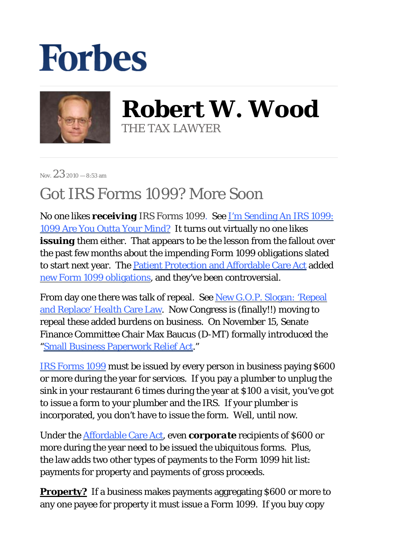## **Forbes**



**Robert W. Wood** THE TAX LAWYER

Nov.  $2.3$  2010 — 8:53 am

## Got IRS Forms 1099? More Soon

No one likes *receiving* IRS Forms 1099. See [I'm Sending An IRS 1099:](http://blogs.forbes.com/robertwood/2010/09/30/im-sending-an-irs-1099-1099-are-you-outta-your-mind/)  [1099 Are You Outta Your Mind?](http://blogs.forbes.com/robertwood/2010/09/30/im-sending-an-irs-1099-1099-are-you-outta-your-mind/) It turns out virtually no one likes *issuing* them either. That appears to be the lesson from the fallout over the past few months about the impending Form 1099 obligations slated to start next year. The [Patient Protection and Affordable Care Act](http://docs.house.gov/rules/hr4872/111_hr3590_engrossed.pdf) added [new Form 1099 obligations,](http://blogs.forbes.com/robertwood/2010/10/22/let-there-be-forms-1099/) and they've been controversial.

From day one there was talk of repeal. See New G.O.P. Slogan: 'Repeal [and Replace' Health Care Law.](http://thecaucus.blogs.nytimes.com/2010/03/23/new-g-o-p-slogan-repeal-and-replace-health-care-law/) Now Congress is (finally!!) moving to repeal these added burdens on business. On November 15, Senate Finance Committee Chair Max Baucus (D-MT) formally introduced the ["Small Business Paperwork Relief Act.](http://www.sba.gov/advo/laws/hr327_02.pdf)"

[IRS Forms 1099](http://www.irs.gov/pub/irs-pdf/i1099gi_09.pdf) must be issued by every person in business paying \$600 or more during the year for services. If you pay a plumber to unplug the sink in your restaurant 6 times during the year at \$100 a visit, you've got to issue a form to your plumber and the IRS. If your plumber is incorporated, you don't have to issue the form. Well, until now.

Under the [Affordable Care Act](http://www.healthcare.gov/law/about/index.html), even *corporate* recipients of \$600 or more during the year need to be issued the ubiquitous forms. Plus, the law adds two other types of payments to the Form 1099 hit list: payments for property and payments of gross proceeds.

**Property?** If a business makes payments aggregating \$600 or more to any one payee for property it must issue a Form 1099. If you buy copy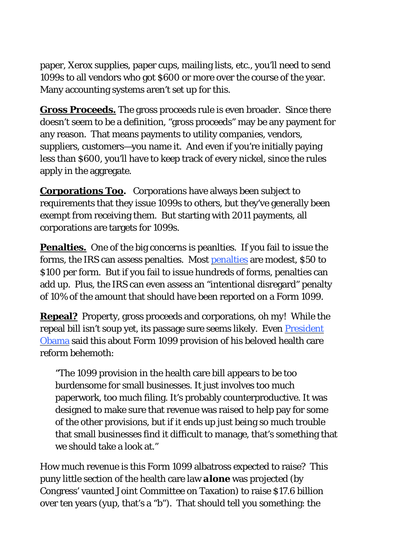paper, Xerox supplies, paper cups, mailing lists, etc., you'll need to send 1099s to all vendors who got \$600 or more over the course of the year. Many accounting systems aren't set up for this.

**Gross Proceeds.** The gross proceeds rule is even broader. Since there doesn't seem to be a definition, "gross proceeds" may be any payment for any reason. That means payments to utility companies, vendors, suppliers, customers—you name it. And even if you're initially paying less than \$600, you'll have to keep track of every nickel, since the rules apply in the aggregate.

**Corporations Too.** Corporations have always been subject to requirements that they issue 1099s to others, but they've generally been exempt from receiving them. But starting with 2011 payments, all corporations are targets for 1099s.

**Penalties.** One of the big concerns is peanlties. If you fail to issue the forms, the IRS can assess penalties. Most [penalties](http://www.irs.gov/instructions/i1099gi/ar02.html#d0e2090) are modest, \$50 to \$100 per form. But if you fail to issue hundreds of forms, penalties can add up. Plus, the IRS can even assess an "intentional disregard" penalty of 10% of the amount that should have been reported on a Form 1099.

**Repeal?** Property, gross proceeds and corporations, oh my! While the repeal bill isn't soup yet, its passage sure seems likely. Even **President** [Obama s](http://www.whitehouse.gov/the-press-office/2010/11/03/press-conference-president)aid this about Form 1099 provision of his beloved health care reform behemoth:

"The 1099 provision in the health care bill appears to be too burdensome for small businesses. It just involves too much paperwork, too much filing. It's probably counterproductive. It was designed to make sure that revenue was raised to help pay for some of the other provisions, but if it ends up just being so much trouble that small businesses find it difficult to manage, that's something that we should take a look at."

How much revenue is this Form 1099 albatross expected to raise? This puny little section of the health care law *alone* was projected (by Congress' vaunted Joint Committee on Taxation) to raise \$17.6 billion over ten years (yup, that's a "b"). That should tell you something: the